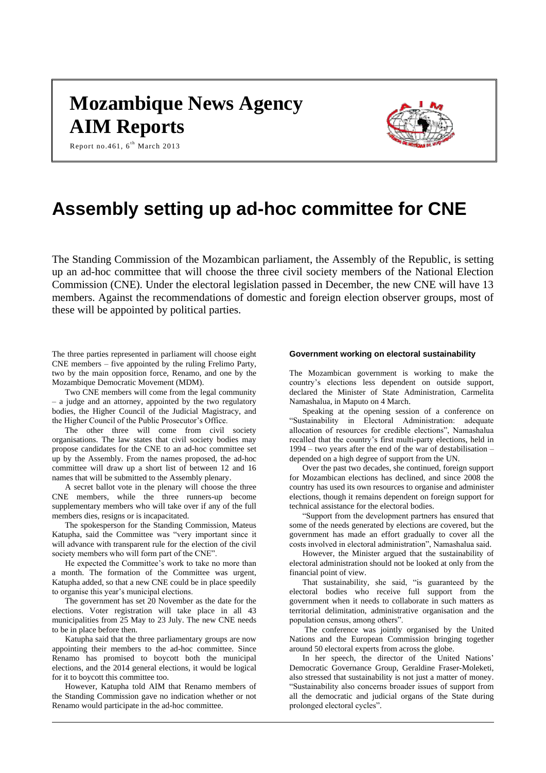# **Mozambique News Agency AIM Reports**



Report no.461,  $6^{th}$  March 2013

# **Assembly setting up ad-hoc committee for CNE**

The Standing Commission of the Mozambican parliament, the Assembly of the Republic, is setting up an ad-hoc committee that will choose the three civil society members of the National Election Commission (CNE). Under the electoral legislation passed in December, the new CNE will have 13 members. Against the recommendations of domestic and foreign election observer groups, most of these will be appointed by political parties.

The three parties represented in parliament will choose eight CNE members – five appointed by the ruling Frelimo Party, two by the main opposition force, Renamo, and one by the Mozambique Democratic Movement (MDM).

Two CNE members will come from the legal community – a judge and an attorney, appointed by the two regulatory bodies, the Higher Council of the Judicial Magistracy, and the Higher Council of the Public Prosecutor's Office.

The other three will come from civil society organisations. The law states that civil society bodies may propose candidates for the CNE to an ad-hoc committee set up by the Assembly. From the names proposed, the ad-hoc committee will draw up a short list of between 12 and 16 names that will be submitted to the Assembly plenary.

A secret ballot vote in the plenary will choose the three CNE members, while the three runners-up become supplementary members who will take over if any of the full members dies, resigns or is incapacitated.

The spokesperson for the Standing Commission, Mateus Katupha, said the Committee was "very important since it will advance with transparent rule for the election of the civil society members who will form part of the CNE".

He expected the Committee's work to take no more than a month. The formation of the Committee was urgent, Katupha added, so that a new CNE could be in place speedily to organise this year's municipal elections.

The government has set 20 November as the date for the elections. Voter registration will take place in all 43 municipalities from 25 May to 23 July. The new CNE needs to be in place before then.

Katupha said that the three parliamentary groups are now appointing their members to the ad-hoc committee. Since Renamo has promised to boycott both the municipal elections, and the 2014 general elections, it would be logical for it to boycott this committee too.

However, Katupha told AIM that Renamo members of the Standing Commission gave no indication whether or not Renamo would participate in the ad-hoc committee.

#### **Government working on electoral sustainability**

The Mozambican government is working to make the country's elections less dependent on outside support, declared the Minister of State Administration, Carmelita Namashalua, in Maputo on 4 March.

Speaking at the opening session of a conference on "Sustainability in Electoral Administration: adequate allocation of resources for credible elections", Namashalua recalled that the country's first multi-party elections, held in 1994 – two years after the end of the war of destabilisation – depended on a high degree of support from the UN.

Over the past two decades, she continued, foreign support for Mozambican elections has declined, and since 2008 the country has used its own resources to organise and administer elections, though it remains dependent on foreign support for technical assistance for the electoral bodies.

"Support from the development partners has ensured that some of the needs generated by elections are covered, but the government has made an effort gradually to cover all the costs involved in electoral administration", Namashalua said.

However, the Minister argued that the sustainability of electoral administration should not be looked at only from the financial point of view.

That sustainability, she said, "is guaranteed by the electoral bodies who receive full support from the government when it needs to collaborate in such matters as territorial delimitation, administrative organisation and the population census, among others".

The conference was jointly organised by the United Nations and the European Commission bringing together around 50 electoral experts from across the globe.

In her speech, the director of the United Nations' Democratic Governance Group, Geraldine Fraser-Moleketi, also stressed that sustainability is not just a matter of money. "Sustainability also concerns broader issues of support from all the democratic and judicial organs of the State during prolonged electoral cycles".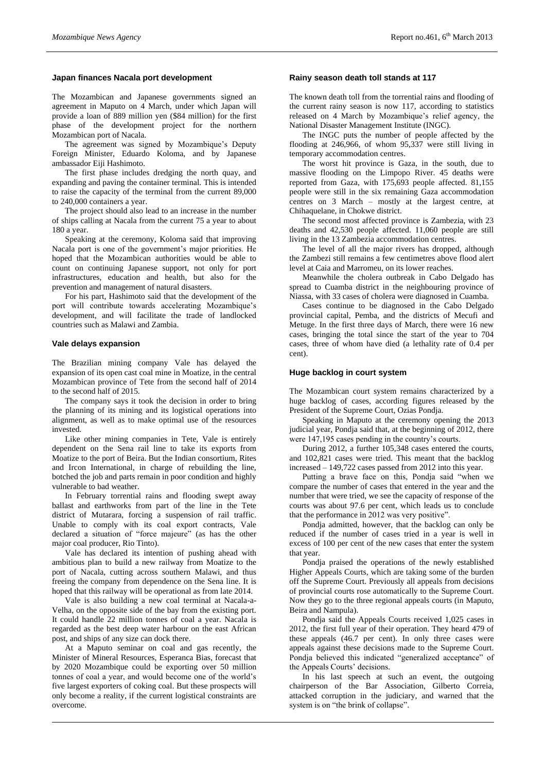# **Japan finances Nacala port development**

The Mozambican and Japanese governments signed an agreement in Maputo on 4 March, under which Japan will provide a loan of 889 million yen (\$84 million) for the first phase of the development project for the northern Mozambican port of Nacala.

The agreement was signed by Mozambique's Deputy Foreign Minister, Eduardo Koloma, and by Japanese ambassador Eiji Hashimoto.

The first phase includes dredging the north quay, and expanding and paving the container terminal. This is intended to raise the capacity of the terminal from the current 89,000 to 240,000 containers a year.

The project should also lead to an increase in the number of ships calling at Nacala from the current 75 a year to about 180 a year.

Speaking at the ceremony, Koloma said that improving Nacala port is one of the government's major priorities. He hoped that the Mozambican authorities would be able to count on continuing Japanese support, not only for port infrastructures, education and health, but also for the prevention and management of natural disasters.

For his part, Hashimoto said that the development of the port will contribute towards accelerating Mozambique's development, and will facilitate the trade of landlocked countries such as Malawi and Zambia.

#### **Vale delays expansion**

The Brazilian mining company Vale has delayed the expansion of its open cast coal mine in Moatize, in the central Mozambican province of Tete from the second half of 2014 to the second half of 2015.

The company says it took the decision in order to bring the planning of its mining and its logistical operations into alignment, as well as to make optimal use of the resources invested.

Like other mining companies in Tete, Vale is entirely dependent on the Sena rail line to take its exports from Moatize to the port of Beira. But the Indian consortium, Rites and Ircon International, in charge of rebuilding the line, botched the job and parts remain in poor condition and highly vulnerable to bad weather.

In February torrential rains and flooding swept away ballast and earthworks from part of the line in the Tete district of Mutarara, forcing a suspension of rail traffic. Unable to comply with its coal export contracts, Vale declared a situation of "force majeure" (as has the other major coal producer, Rio Tinto).

Vale has declared its intention of pushing ahead with ambitious plan to build a new railway from Moatize to the port of Nacala, cutting across southern Malawi, and thus freeing the company from dependence on the Sena line. It is hoped that this railway will be operational as from late 2014.

Vale is also building a new coal terminal at Nacala-a-Velha, on the opposite side of the bay from the existing port. It could handle 22 million tonnes of coal a year. Nacala is regarded as the best deep water harbour on the east African post, and ships of any size can dock there.

At a Maputo seminar on coal and gas recently, the Minister of Mineral Resources, Esperanca Bias, forecast that by 2020 Mozambique could be exporting over 50 million tonnes of coal a year, and would become one of the world's five largest exporters of coking coal. But these prospects will only become a reality, if the current logistical constraints are overcome.

#### **Rainy season death toll stands at 117**

The known death toll from the torrential rains and flooding of the current rainy season is now 117, according to statistics released on 4 March by Mozambique's relief agency, the National Disaster Management Institute (INGC).

The INGC puts the number of people affected by the flooding at 246,966, of whom 95,337 were still living in temporary accommodation centres.

The worst hit province is Gaza, in the south, due to massive flooding on the Limpopo River. 45 deaths were reported from Gaza, with 175,693 people affected. 81,155 people were still in the six remaining Gaza accommodation centres on 3 March – mostly at the largest centre, at Chihaquelane, in Chokwe district.

The second most affected province is Zambezia, with 23 deaths and 42,530 people affected. 11,060 people are still living in the 13 Zambezia accommodation centres.

The level of all the major rivers has dropped, although the Zambezi still remains a few centimetres above flood alert level at Caia and Marromeu, on its lower reaches.

Meanwhile the cholera outbreak in Cabo Delgado has spread to Cuamba district in the neighbouring province of Niassa, with 33 cases of cholera were diagnosed in Cuamba.

Cases continue to be diagnosed in the Cabo Delgado provincial capital, Pemba, and the districts of Mecufi and Metuge. In the first three days of March, there were 16 new cases, bringing the total since the start of the year to 704 cases, three of whom have died (a lethality rate of 0.4 per cent).

## **Huge backlog in court system**

The Mozambican court system remains characterized by a huge backlog of cases, according figures released by the President of the Supreme Court, Ozias Pondja.

Speaking in Maputo at the ceremony opening the 2013 judicial year, Pondja said that, at the beginning of 2012, there were 147,195 cases pending in the country's courts.

During 2012, a further 105,348 cases entered the courts, and 102,821 cases were tried. This meant that the backlog increased – 149,722 cases passed from 2012 into this year.

Putting a brave face on this, Pondja said "when we compare the number of cases that entered in the year and the number that were tried, we see the capacity of response of the courts was about 97.6 per cent, which leads us to conclude that the performance in 2012 was very positive".

Pondja admitted, however, that the backlog can only be reduced if the number of cases tried in a year is well in excess of 100 per cent of the new cases that enter the system that year.

Pondja praised the operations of the newly established Higher Appeals Courts, which are taking some of the burden off the Supreme Court. Previously all appeals from decisions of provincial courts rose automatically to the Supreme Court. Now they go to the three regional appeals courts (in Maputo, Beira and Nampula).

Pondja said the Appeals Courts received 1,025 cases in 2012, the first full year of their operation. They heard 479 of these appeals (46.7 per cent). In only three cases were appeals against these decisions made to the Supreme Court. Pondja believed this indicated "generalized acceptance" of the Appeals Courts' decisions.

In his last speech at such an event, the outgoing chairperson of the Bar Association, Gilberto Correia, attacked corruption in the judiciary, and warned that the system is on "the brink of collapse".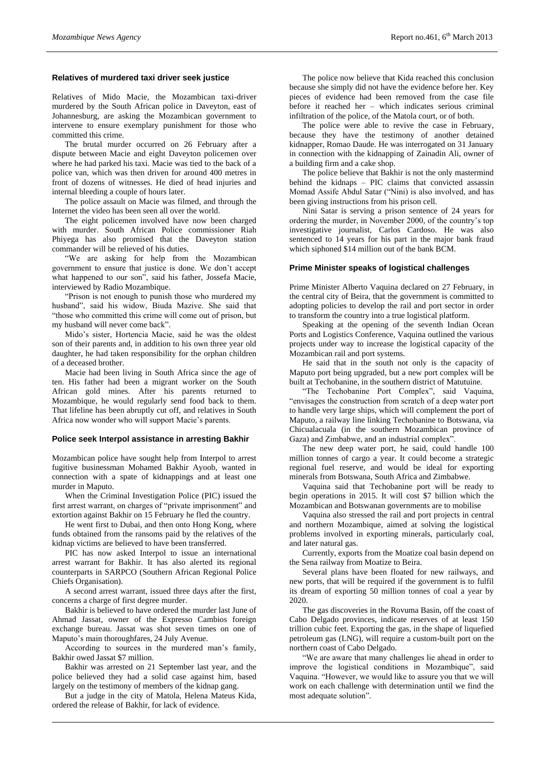#### **Relatives of murdered taxi driver seek justice**

Relatives of Mido Macie, the Mozambican taxi-driver murdered by the South African police in Daveyton, east of Johannesburg, are asking the Mozambican government to intervene to ensure exemplary punishment for those who committed this crime.

The brutal murder occurred on 26 February after a dispute between Macie and eight Daveyton policemen over where he had parked his taxi. Macie was tied to the back of a police van, which was then driven for around 400 metres in front of dozens of witnesses. He died of head injuries and internal bleeding a couple of hours later.

The police assault on Macie was filmed, and through the Internet the video has been seen all over the world.

The eight policemen involved have now been charged with murder. South African Police commissioner Riah Phiyega has also promised that the Daveyton station commander will be relieved of his duties.

"We are asking for help from the Mozambican government to ensure that justice is done. We don't accept what happened to our son", said his father, Jossefa Macie, interviewed by Radio Mozambique.

"Prison is not enough to punish those who murdered my husband", said his widow, Biuda Mazive. She said that "those who committed this crime will come out of prison, but my husband will never come back".

Mido's sister, Hortencia Macie, said he was the oldest son of their parents and, in addition to his own three year old daughter, he had taken responsibility for the orphan children of a deceased brother.

Macie had been living in South Africa since the age of ten. His father had been a migrant worker on the South African gold mines. After his parents returned to Mozambique, he would regularly send food back to them. That lifeline has been abruptly cut off, and relatives in South Africa now wonder who will support Macie's parents.

#### **Police seek Interpol assistance in arresting Bakhir**

Mozambican police have sought help from Interpol to arrest fugitive businessman Mohamed Bakhir Ayoob, wanted in connection with a spate of kidnappings and at least one murder in Maputo.

When the Criminal Investigation Police (PIC) issued the first arrest warrant, on charges of "private imprisonment" and extortion against Bakhir on 15 February he fled the country.

He went first to Dubai, and then onto Hong Kong, where funds obtained from the ransoms paid by the relatives of the kidnap victims are believed to have been transferred.

PIC has now asked Interpol to issue an international arrest warrant for Bakhir. It has also alerted its regional counterparts in SARPCO (Southern African Regional Police Chiefs Organisation).

A second arrest warrant, issued three days after the first, concerns a charge of first degree murder.

Bakhir is believed to have ordered the murder last June of Ahmad Jassat, owner of the Expresso Cambios foreign exchange bureau. Jassat was shot seven times on one of Maputo's main thoroughfares, 24 July Avenue.

According to sources in the murdered man's family, Bakhir owed Jassat \$7 million.

Bakhir was arrested on 21 September last year, and the police believed they had a solid case against him, based largely on the testimony of members of the kidnap gang.

But a judge in the city of Matola, Helena Mateus Kida, ordered the release of Bakhir, for lack of evidence.

The police now believe that Kida reached this conclusion because she simply did not have the evidence before her. Key pieces of evidence had been removed from the case file before it reached her – which indicates serious criminal infiltration of the police, of the Matola court, or of both.

The police were able to revive the case in February, because they have the testimony of another detained kidnapper, Romao Daude. He was interrogated on 31 January in connection with the kidnapping of Zainadin Ali, owner of a building firm and a cake shop.

The police believe that Bakhir is not the only mastermind behind the kidnaps – PIC claims that convicted assassin Momad Assife Abdul Satar ("Nini) is also involved, and has been giving instructions from his prison cell.

Nini Satar is serving a prison sentence of 24 years for ordering the murder, in November 2000, of the country's top investigative journalist, Carlos Cardoso. He was also sentenced to 14 years for his part in the major bank fraud which siphoned \$14 million out of the bank BCM.

# **Prime Minister speaks of logistical challenges**

Prime Minister Alberto Vaquina declared on 27 February, in the central city of Beira, that the government is committed to adopting policies to develop the rail and port sector in order to transform the country into a true logistical platform.

Speaking at the opening of the seventh Indian Ocean Ports and Logistics Conference, Vaquina outlined the various projects under way to increase the logistical capacity of the Mozambican rail and port systems.

He said that in the south not only is the capacity of Maputo port being upgraded, but a new port complex will be built at Techobanine, in the southern district of Matutuine.

"The Techobanine Port Complex", said Vaquina, "envisages the construction from scratch of a deep water port to handle very large ships, which will complement the port of Maputo, a railway line linking Techobanine to Botswana, via Chicualacuala (in the southern Mozambican province of Gaza) and Zimbabwe, and an industrial complex".

The new deep water port, he said, could handle 100 million tonnes of cargo a year. It could become a strategic regional fuel reserve, and would be ideal for exporting minerals from Botswana, South Africa and Zimbabwe.

Vaquina said that Techobanine port will be ready to begin operations in 2015. It will cost \$7 billion which the Mozambican and Botswanan governments are to mobilise

Vaquina also stressed the rail and port projects in central and northern Mozambique, aimed at solving the logistical problems involved in exporting minerals, particularly coal, and later natural gas.

Currently, exports from the Moatize coal basin depend on the Sena railway from Moatize to Beira.

Several plans have been floated for new railways, and new ports, that will be required if the government is to fulfil its dream of exporting 50 million tonnes of coal a year by 2020.

The gas discoveries in the Rovuma Basin, off the coast of Cabo Delgado provinces, indicate reserves of at least 150 trillion cubic feet. Exporting the gas, in the shape of liquefied petroleum gas (LNG), will require a custom-built port on the northern coast of Cabo Delgado.

"We are aware that many challenges lie ahead in order to improve the logistical conditions in Mozambique", said Vaquina. "However, we would like to assure you that we will work on each challenge with determination until we find the most adequate solution".